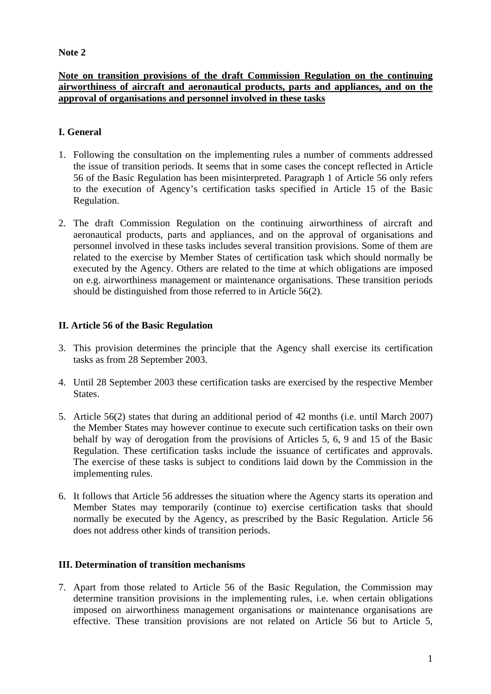#### **Note 2**

#### **Note on transition provisions of the draft Commission Regulation on the continuing airworthiness of aircraft and aeronautical products, parts and appliances, and on the approval of organisations and personnel involved in these tasks**

## **I. General**

- 1. Following the consultation on the implementing rules a number of comments addressed the issue of transition periods. It seems that in some cases the concept reflected in Article 56 of the Basic Regulation has been misinterpreted. Paragraph 1 of Article 56 only refers to the execution of Agency's certification tasks specified in Article 15 of the Basic Regulation.
- 2. The draft Commission Regulation on the continuing airworthiness of aircraft and aeronautical products, parts and appliances, and on the approval of organisations and personnel involved in these tasks includes several transition provisions. Some of them are related to the exercise by Member States of certification task which should normally be executed by the Agency. Others are related to the time at which obligations are imposed on e.g. airworthiness management or maintenance organisations. These transition periods should be distinguished from those referred to in Article 56(2).

## **II. Article 56 of the Basic Regulation**

- 3. This provision determines the principle that the Agency shall exercise its certification tasks as from 28 September 2003.
- 4. Until 28 September 2003 these certification tasks are exercised by the respective Member **States**
- 5. Article 56(2) states that during an additional period of 42 months (i.e. until March 2007) the Member States may however continue to execute such certification tasks on their own behalf by way of derogation from the provisions of Articles 5, 6, 9 and 15 of the Basic Regulation. These certification tasks include the issuance of certificates and approvals. The exercise of these tasks is subject to conditions laid down by the Commission in the implementing rules.
- 6. It follows that Article 56 addresses the situation where the Agency starts its operation and Member States may temporarily (continue to) exercise certification tasks that should normally be executed by the Agency, as prescribed by the Basic Regulation. Article 56 does not address other kinds of transition periods.

## **III. Determination of transition mechanisms**

7. Apart from those related to Article 56 of the Basic Regulation, the Commission may determine transition provisions in the implementing rules, i.e. when certain obligations imposed on airworthiness management organisations or maintenance organisations are effective. These transition provisions are not related on Article 56 but to Article 5,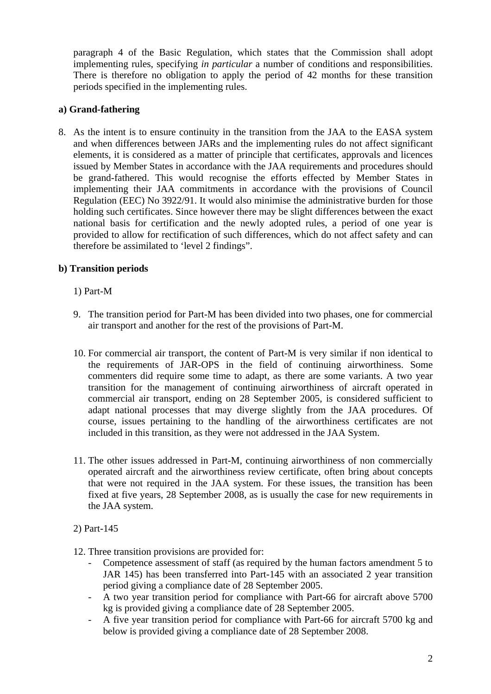paragraph 4 of the Basic Regulation, which states that the Commission shall adopt implementing rules, specifying *in particular* a number of conditions and responsibilities. There is therefore no obligation to apply the period of 42 months for these transition periods specified in the implementing rules.

#### **a) Grand-fathering**

8. As the intent is to ensure continuity in the transition from the JAA to the EASA system and when differences between JARs and the implementing rules do not affect significant elements, it is considered as a matter of principle that certificates, approvals and licences issued by Member States in accordance with the JAA requirements and procedures should be grand-fathered. This would recognise the efforts effected by Member States in implementing their JAA commitments in accordance with the provisions of Council Regulation (EEC) No 3922/91. It would also minimise the administrative burden for those holding such certificates. Since however there may be slight differences between the exact national basis for certification and the newly adopted rules, a period of one year is provided to allow for rectification of such differences, which do not affect safety and can therefore be assimilated to 'level 2 findings".

## **b) Transition periods**

#### 1) Part-M

- 9. The transition period for Part-M has been divided into two phases, one for commercial air transport and another for the rest of the provisions of Part-M.
- 10. For commercial air transport, the content of Part-M is very similar if non identical to the requirements of JAR-OPS in the field of continuing airworthiness. Some commenters did require some time to adapt, as there are some variants. A two year transition for the management of continuing airworthiness of aircraft operated in commercial air transport, ending on 28 September 2005, is considered sufficient to adapt national processes that may diverge slightly from the JAA procedures. Of course, issues pertaining to the handling of the airworthiness certificates are not included in this transition, as they were not addressed in the JAA System.
- 11. The other issues addressed in Part-M, continuing airworthiness of non commercially operated aircraft and the airworthiness review certificate, often bring about concepts that were not required in the JAA system. For these issues, the transition has been fixed at five years, 28 September 2008, as is usually the case for new requirements in the JAA system.

# 2) Part-145

- 12. Three transition provisions are provided for:
	- Competence assessment of staff (as required by the human factors amendment 5 to JAR 145) has been transferred into Part-145 with an associated 2 year transition period giving a compliance date of 28 September 2005.
	- A two year transition period for compliance with Part-66 for aircraft above 5700 kg is provided giving a compliance date of 28 September 2005.
	- A five year transition period for compliance with Part-66 for aircraft 5700 kg and below is provided giving a compliance date of 28 September 2008.